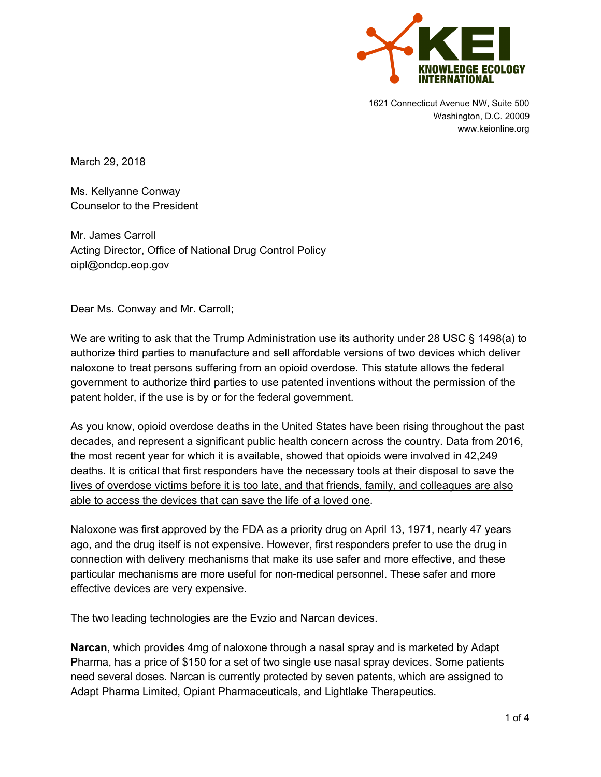

1621 Connecticut Avenue NW, Suite 500 Washington, D.C. 20009 www.keionline.org

March 29, 2018

Ms. Kellyanne Conway Counselor to the President

Mr. James Carroll Acting Director, Office of National Drug Control Policy oipl@ondcp.eop.gov

Dear Ms. Conway and Mr. Carroll;

We are writing to ask that the Trump Administration use its authority under 28 USC § 1498(a) to authorize third parties to manufacture and sell affordable versions of two devices which deliver naloxone to treat persons suffering from an opioid overdose. This statute allows the federal government to authorize third parties to use patented inventions without the permission of the patent holder, if the use is by or for the federal government.

As you know, opioid overdose deaths in the United States have been rising throughout the past decades, and represent a significant public health concern across the country. Data from 2016, the most recent year for which it is available, showed that opioids were involved in 42,249 deaths. It is critical that first responders have the necessary tools at their disposal to save the lives of overdose victims before it is too late, and that friends, family, and colleagues are also able to access the devices that can save the life of a loved one.

Naloxone was first approved by the FDA as a priority drug on April 13, 1971, nearly 47 years ago, and the drug itself is not expensive. However, first responders prefer to use the drug in connection with delivery mechanisms that make its use safer and more effective, and these particular mechanisms are more useful for non-medical personnel. These safer and more effective devices are very expensive.

The two leading technologies are the Evzio and Narcan devices.

**Narcan**, which provides 4mg of naloxone through a nasal spray and is marketed by Adapt Pharma, has a price of \$150 for a set of two single use nasal spray devices. Some patients need several doses. Narcan is currently protected by seven patents, which are assigned to Adapt Pharma Limited, Opiant Pharmaceuticals, and Lightlake Therapeutics.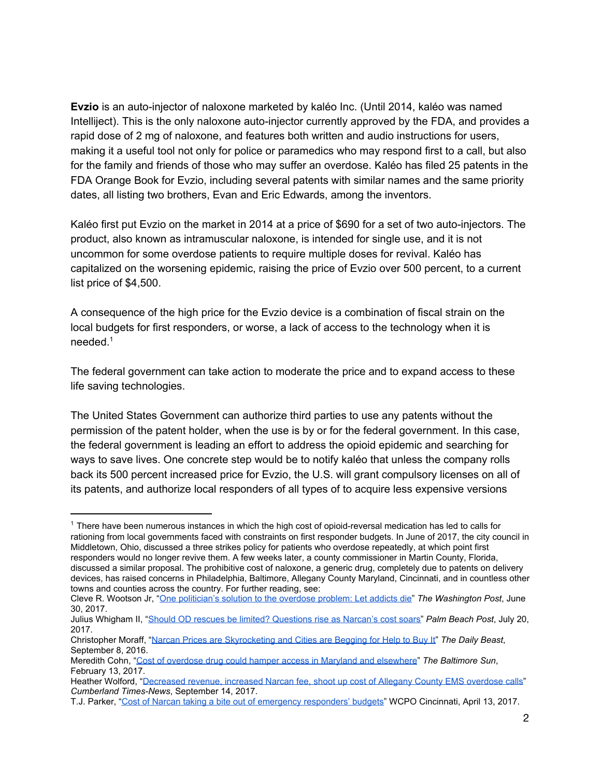**Evzio** is an auto-injector of naloxone marketed by kaléo Inc. (Until 2014, kaléo was named Intelliject). This is the only naloxone auto-injector currently approved by the FDA, and provides a rapid dose of 2 mg of naloxone, and features both written and audio instructions for users, making it a useful tool not only for police or paramedics who may respond first to a call, but also for the family and friends of those who may suffer an overdose. Kaléo has filed 25 patents in the FDA Orange Book for Evzio, including several patents with similar names and the same priority dates, all listing two brothers, Evan and Eric Edwards, among the inventors.

Kaléo first put Evzio on the market in 2014 at a price of \$690 for a set of two auto-injectors. The product, also known as intramuscular naloxone, is intended for single use, and it is not uncommon for some overdose patients to require multiple doses for revival. Kaléo has capitalized on the worsening epidemic, raising the price of Evzio over 500 percent, to a current list price of \$4,500.

A consequence of the high price for the Evzio device is a combination of fiscal strain on the local budgets for first responders, or worse, a lack of access to the technology when it is needed. 1

The federal government can take action to moderate the price and to expand access to these life saving technologies.

The United States Government can authorize third parties to use any patents without the permission of the patent holder, when the use is by or for the federal government. In this case, the federal government is leading an effort to address the opioid epidemic and searching for ways to save lives. One concrete step would be to notify kaléo that unless the company rolls back its 500 percent increased price for Evzio, the U.S. will grant compulsory licenses on all of its patents, and authorize local responders of all types of to acquire less expensive versions

 $1$  There have been numerous instances in which the high cost of opioid-reversal medication has led to calls for rationing from local governments faced with constraints on first responder budgets. In June of 2017, the city council in Middletown, Ohio, discussed a three strikes policy for patients who overdose repeatedly, at which point first responders would no longer revive them. A few weeks later, a county commissioner in Martin County, Florida, discussed a similar proposal. The prohibitive cost of naloxone, a generic drug, completely due to patents on delivery devices, has raised concerns in Philadelphia, Baltimore, Allegany County Maryland, Cincinnati, and in countless other towns and counties across the country. For further reading, see:

Cleve R. Wootson Jr, "[One politician's solution to the overdose problem: Let addicts die"](https://www.washingtonpost.com/news/to-your-health/wp/2017/06/28/a-council-members-solution-to-his-ohio-towns-overdose-problem-let-addicts-die/?utm_term=.b9c8b6d6969f) *The Washington Post*, June 30, 2017.

Julius Whigham II, "[Should OD rescues be limited? Questions rise as Narcan's cost soars"](https://www.mypalmbeachpost.com/news/local-govt--politics/should-rescues-limited-questions-rise-narcan-cost-soars/Pm3KERwwyNxiNhyyrmep7J/) *Palm Beach Post*, July 20, 2017.

Christopher Moraff, ["Narcan Prices are Skyrocketing and Cities are Begging for Help to Buy It"](https://www.thedailybeast.com/narcan-prices-are-skyrocketing-and-cities-are-begging-for-help-to-buy-it) *The Daily Beast*, September 8, 2016.

Meredith Cohn, "[Cost of overdose drug could hamper access in Maryland and elsewhere](http://www.baltimoresun.com/health/blog/bs-hs-naloxone-price-20170213-story.html)" *The Baltimore Sun*, February 13, 2017.

Heather Wolford, "[Decreased revenue, increased Narcan fee, shoot up cost of Allegany County EMS overdose calls](http://www.times-news.com/news/local_news/decreased-revenue-increased-narcan-fee-shoot-up-cost-of-allegany/article_2bf1b62c-933d-11e7-ab2d-b3f6a9bb96f4.html)" *Cumberland Times-News*, September 14, 2017.

T.J. Parker, "[Cost of Narcan taking a bite out of emergency responders' budgets"](https://www.wcpo.com/news/local-news/campbell-county/bellevue/cost-of-narcan-taking-a-bite-out-of-emergency-responders-budgets) WCPO Cincinnati, April 13, 2017.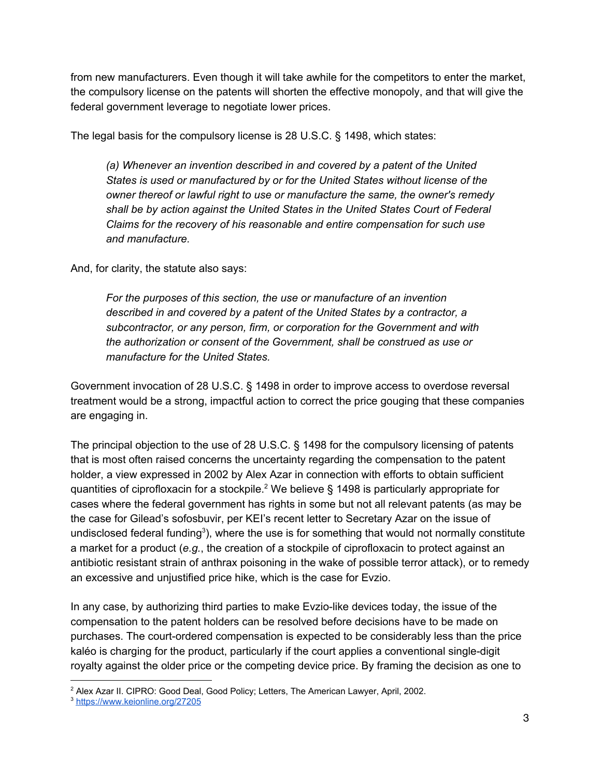from new manufacturers. Even though it will take awhile for the competitors to enter the market, the compulsory license on the patents will shorten the effective monopoly, and that will give the federal government leverage to negotiate lower prices.

The legal basis for the compulsory license is 28 U.S.C. § 1498, which states:

*(a) Whenever an invention described in and covered by a patent of the United States is used or manufactured by or for the United States without license of the owner thereof or lawful right to use or manufacture the same, the owner's remedy shall be by action against the United States in the United States Court of Federal Claims for the recovery of his reasonable and entire compensation for such use and manufacture.*

And, for clarity, the statute also says:

*For the purposes of this section, the use or manufacture of an invention described in and covered by a patent of the United States by a contractor, a subcontractor, or any person, firm, or corporation for the Government and with the authorization or consent of the Government, shall be construed as use or manufacture for the United States.*

Government invocation of 28 U.S.C. § 1498 in order to improve access to overdose reversal treatment would be a strong, impactful action to correct the price gouging that these companies are engaging in.

The principal objection to the use of 28 U.S.C. § 1498 for the compulsory licensing of patents that is most often raised concerns the uncertainty regarding the compensation to the patent holder, a view expressed in 2002 by Alex Azar in connection with efforts to obtain sufficient quantities of ciprofloxacin for a stockpile.<sup>2</sup> We believe § 1498 is particularly appropriate for cases where the federal government has rights in some but not all relevant patents (as may be the case for Gilead's sofosbuvir, per KEI's recent letter to Secretary Azar on the issue of undisclosed federal funding<sup>3</sup>), where the use is for something that would not normally constitute a market for a product (*e.g.*, the creation of a stockpile of ciprofloxacin to protect against an antibiotic resistant strain of anthrax poisoning in the wake of possible terror attack), or to remedy an excessive and unjustified price hike, which is the case for Evzio.

In any case, by authorizing third parties to make Evzio-like devices today, the issue of the compensation to the patent holders can be resolved before decisions have to be made on purchases. The court-ordered compensation is expected to be considerably less than the price kaléo is charging for the product, particularly if the court applies a conventional single-digit royalty against the older price or the competing device price. By framing the decision as one to

<sup>&</sup>lt;sup>2</sup> Alex Azar II. CIPRO: Good Deal, Good Policy; Letters, The American Lawyer, April, 2002.

<sup>3</sup> <https://www.keionline.org/27205>